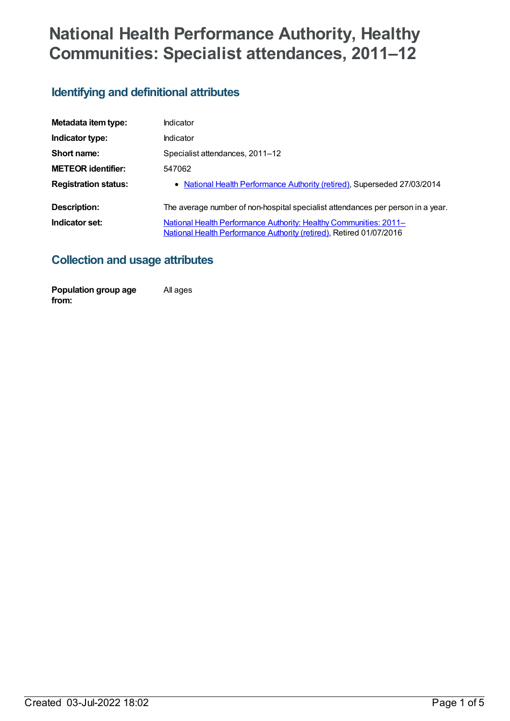# **National Health Performance Authority, Healthy Communities: Specialist attendances, 2011–12**

## **Identifying and definitional attributes**

| Metadata item type:         | Indicator                                                                                                                                |
|-----------------------------|------------------------------------------------------------------------------------------------------------------------------------------|
| Indicator type:             | Indicator                                                                                                                                |
| Short name:                 | Specialist attendances, 2011-12                                                                                                          |
| <b>METEOR identifier:</b>   | 547062                                                                                                                                   |
| <b>Registration status:</b> | • National Health Performance Authority (retired), Superseded 27/03/2014                                                                 |
| Description:                | The average number of non-hospital specialist attendances per person in a year.                                                          |
| Indicator set:              | National Health Performance Authority: Healthy Communities: 2011-<br>National Health Performance Authority (retired), Retired 01/07/2016 |

## **Collection and usage attributes**

**Population group age from:** All ages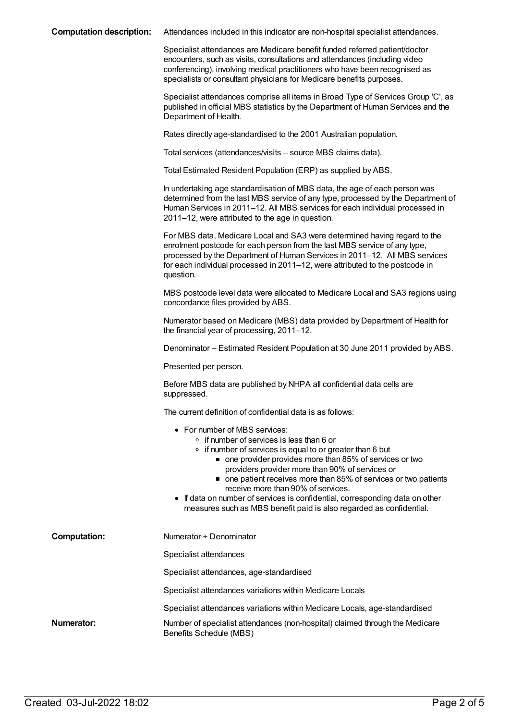**Computation description:** Attendances included in this indicator are non-hospital specialist attendances.

Specialist attendances are Medicare benefit funded referred patient/doctor encounters, such as visits, consultations and attendances (including video conferencing), involving medical practitioners who have been recognised as specialists or consultant physicians for Medicare benefits purposes.

Specialist attendances comprise all items in Broad Type of Services Group 'C', as published in official MBS statistics by the Department of Human Services and the Department of Health.

Rates directly age-standardised to the 2001 Australian population.

Total services (attendances/visits – source MBS claims data).

Total Estimated Resident Population (ERP) as supplied by ABS.

In undertaking age standardisation of MBS data, the age of each person was determined from the last MBS service of any type, processed by the Department of Human Services in 2011–12. All MBS services for each individual processed in 2011–12, were attributed to the age in question.

For MBS data, Medicare Local and SA3 were determined having regard to the enrolment postcode for each person from the last MBS service of any type, processed by the Department of Human Services in 2011–12. All MBS services for each individual processed in 2011–12, were attributed to the postcode in question.

MBS postcode level data were allocated to Medicare Local and SA3 regions using concordance files provided by ABS.

Numerator based on Medicare (MBS) data provided by Department of Health for the financial year of processing, 2011–12.

Denominator – Estimated Resident Population at 30 June 2011 provided by ABS.

Presented per person.

Before MBS data are published by NHPA all confidential data cells are suppressed.

The current definition of confidential data is as follows:

- For number of MBS services:
	- o if number of services is less than 6 or
	- $\circ$  if number of services is equal to or greater than 6 but
		- one provider provides more than 85% of services or two providers provider more than 90% of services or
		- one patient receives more than 85% of services or two patients receive more than 90% of services.
- If data on number of services is confidential, corresponding data on other measures such as MBS benefit paid is also regarded as confidential.

| Computation: | Numerator + Denominator                                                                                 |
|--------------|---------------------------------------------------------------------------------------------------------|
|              | Specialist attendances                                                                                  |
|              | Specialist attendances, age-standardised                                                                |
|              | Specialist attendances variations within Medicare Locals                                                |
|              | Specialist attendances variations within Medicare Locals, age-standardised                              |
| Numerator:   | Number of specialist attendances (non-hospital) claimed through the Medicare<br>Benefits Schedule (MBS) |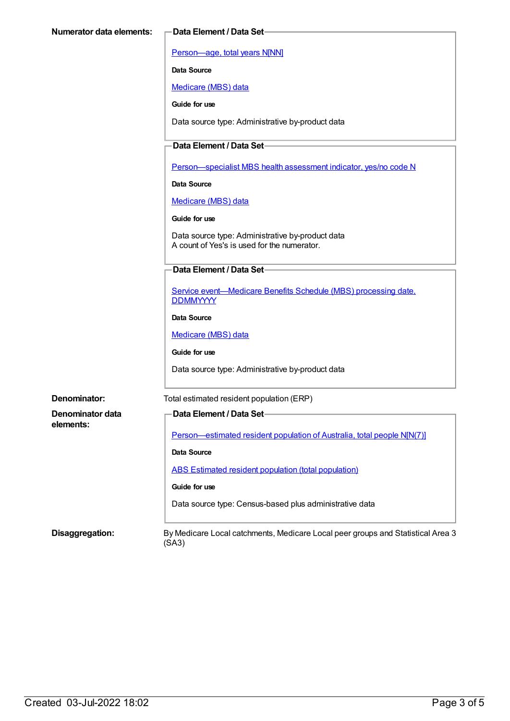[Person—age,](https://meteor.aihw.gov.au/content/303794) total years N[NN]

**Data Source**

[Medicare](https://meteor.aihw.gov.au/content/394305) (MBS) data

**Guide for use**

Data source type: Administrative by-product data

#### **Data Element / Data Set**

[Person—specialist](https://meteor.aihw.gov.au/content/504845) MBS health assessment indicator, yes/no code N

**Data Source**

[Medicare](https://meteor.aihw.gov.au/content/394305) (MBS) data

#### **Guide for use**

Data source type: Administrative by-product data A count of Yes's is used for the numerator.

### **Data Element / Data Set**

Service [event—Medicare](https://meteor.aihw.gov.au/content/573414) Benefits Schedule (MBS) processing date, **DDMMYYYY** 

**Data Source**

[Medicare](https://meteor.aihw.gov.au/content/394305) (MBS) data

**Guide for use**

Data source type: Administrative by-product data

**Denominator data elements:**

#### **Denominator:** Total estimated resident population (ERP)

**Data Element / Data Set** [Person—estimated](https://meteor.aihw.gov.au/content/388656) resident population of Australia, total people N[N(7)] **Data Source** ABS Estimated resident population (total [population\)](https://meteor.aihw.gov.au/content/393625)

**Guide for use**

Data source type: Census-based plus administrative data

**Disaggregation:** By Medicare Local catchments, Medicare Local peer groups and Statistical Area 3 (SA3)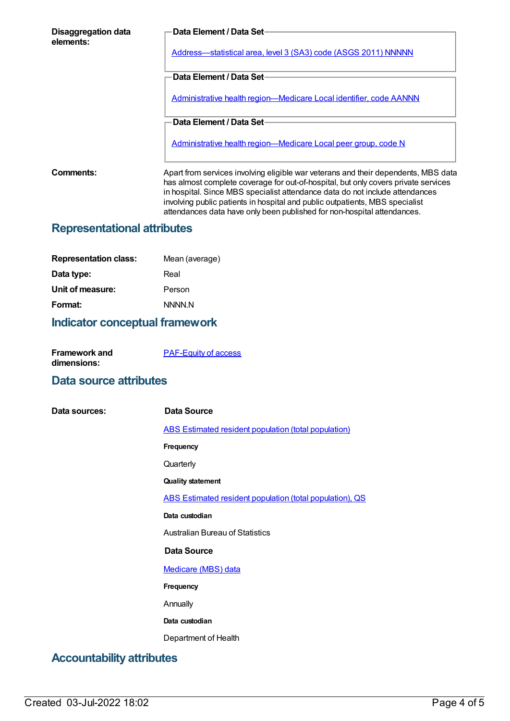| <b>Disaggregation data</b><br>elements: | Data Element / Data Set-                                                                                                                                                                                                                                                                                                                                                                                            |
|-----------------------------------------|---------------------------------------------------------------------------------------------------------------------------------------------------------------------------------------------------------------------------------------------------------------------------------------------------------------------------------------------------------------------------------------------------------------------|
|                                         | Address-statistical area, level 3 (SA3) code (ASGS 2011) NNNNN                                                                                                                                                                                                                                                                                                                                                      |
|                                         | Data Element / Data Set-                                                                                                                                                                                                                                                                                                                                                                                            |
|                                         | Administrative health region-Medicare Local identifier, code AANNN                                                                                                                                                                                                                                                                                                                                                  |
|                                         | Data Element / Data Set-                                                                                                                                                                                                                                                                                                                                                                                            |
|                                         | Administrative health region-Medicare Local peer group, code N                                                                                                                                                                                                                                                                                                                                                      |
| Comments:                               | Apart from services involving eligible war veterans and their dependents, MBS data<br>has almost complete coverage for out-of-hospital, but only covers private services<br>in hospital. Since MBS specialist attendance data do not include attendances<br>involving public patients in hospital and public outpatients, MBS specialist<br>attendances data have only been published for non-hospital attendances. |
| <b>Representational attributes</b>      |                                                                                                                                                                                                                                                                                                                                                                                                                     |
|                                         |                                                                                                                                                                                                                                                                                                                                                                                                                     |
| <b>Representation class:</b>            | Mean (average)                                                                                                                                                                                                                                                                                                                                                                                                      |

| <b>Representation class:</b> | Mean (averag |
|------------------------------|--------------|
| Data type:                   | Real         |
| Unit of measure:             | Person       |
| Format:                      | NNNN N       |

## **Indicator conceptual framework**

| <b>Framework and</b> | <b>PAF-Equity of access</b> |
|----------------------|-----------------------------|
| dimensions:          |                             |

## **Data source attributes**

| Data sources:                    | Data Source                                                 |
|----------------------------------|-------------------------------------------------------------|
|                                  | <b>ABS Estimated resident population (total population)</b> |
|                                  | Frequency                                                   |
|                                  | Quarterly                                                   |
|                                  | <b>Quality statement</b>                                    |
|                                  | ABS Estimated resident population (total population), QS    |
|                                  | Data custodian                                              |
|                                  | <b>Australian Bureau of Statistics</b>                      |
|                                  | Data Source                                                 |
|                                  | <b>Medicare (MBS) data</b>                                  |
|                                  | Frequency                                                   |
|                                  | Annually                                                    |
|                                  | Data custodian                                              |
|                                  | Department of Health                                        |
| <b>Accountability attributes</b> |                                                             |